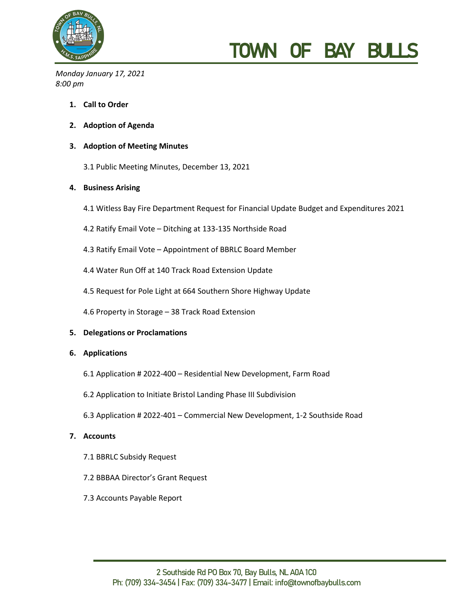

# TOWN OF BAY BULL

*Monday January 17, 2021 8:00 pm*

- **1. Call to Order**
- **2. Adoption of Agenda**

## **3. Adoption of Meeting Minutes**

3.1 Public Meeting Minutes, December 13, 2021

### **4. Business Arising**

- 4.1 Witless Bay Fire Department Request for Financial Update Budget and Expenditures 2021
- 4.2 Ratify Email Vote Ditching at 133-135 Northside Road
- 4.3 Ratify Email Vote Appointment of BBRLC Board Member
- 4.4 Water Run Off at 140 Track Road Extension Update
- 4.5 Request for Pole Light at 664 Southern Shore Highway Update
- 4.6 Property in Storage 38 Track Road Extension

## **5. Delegations or Proclamations**

#### **6. Applications**

- 6.1 Application # 2022-400 Residential New Development, Farm Road
- 6.2 Application to Initiate Bristol Landing Phase III Subdivision
- 6.3 Application # 2022-401 Commercial New Development, 1-2 Southside Road

#### **7. Accounts**

- 7.1 BBRLC Subsidy Request
- 7.2 BBBAA Director's Grant Request
- 7.3 Accounts Payable Report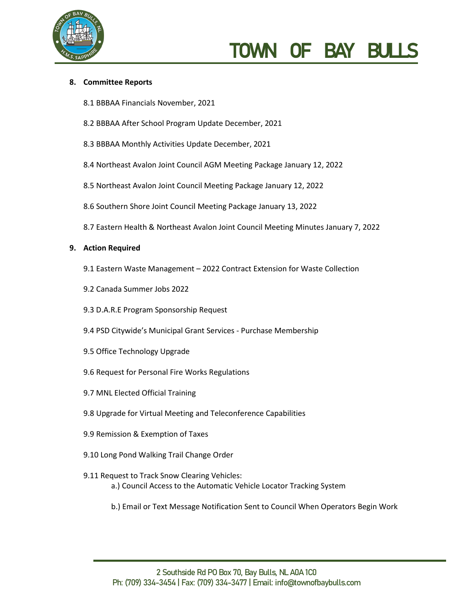

# TOWN OF BAY BUL

### **8. Committee Reports**

- 8.1 BBBAA Financials November, 2021
- 8.2 BBBAA After School Program Update December, 2021
- 8.3 BBBAA Monthly Activities Update December, 2021
- 8.4 Northeast Avalon Joint Council AGM Meeting Package January 12, 2022
- 8.5 Northeast Avalon Joint Council Meeting Package January 12, 2022
- 8.6 Southern Shore Joint Council Meeting Package January 13, 2022
- 8.7 Eastern Health & Northeast Avalon Joint Council Meeting Minutes January 7, 2022

#### **9. Action Required**

- 9.1 Eastern Waste Management 2022 Contract Extension for Waste Collection
- 9.2 Canada Summer Jobs 2022
- 9.3 D.A.R.E Program Sponsorship Request
- 9.4 PSD Citywide's Municipal Grant Services Purchase Membership
- 9.5 Office Technology Upgrade
- 9.6 Request for Personal Fire Works Regulations
- 9.7 MNL Elected Official Training
- 9.8 Upgrade for Virtual Meeting and Teleconference Capabilities
- 9.9 Remission & Exemption of Taxes
- 9.10 Long Pond Walking Trail Change Order
- 9.11 Request to Track Snow Clearing Vehicles: a.) Council Access to the Automatic Vehicle Locator Tracking System
	- b.) Email or Text Message Notification Sent to Council When Operators Begin Work